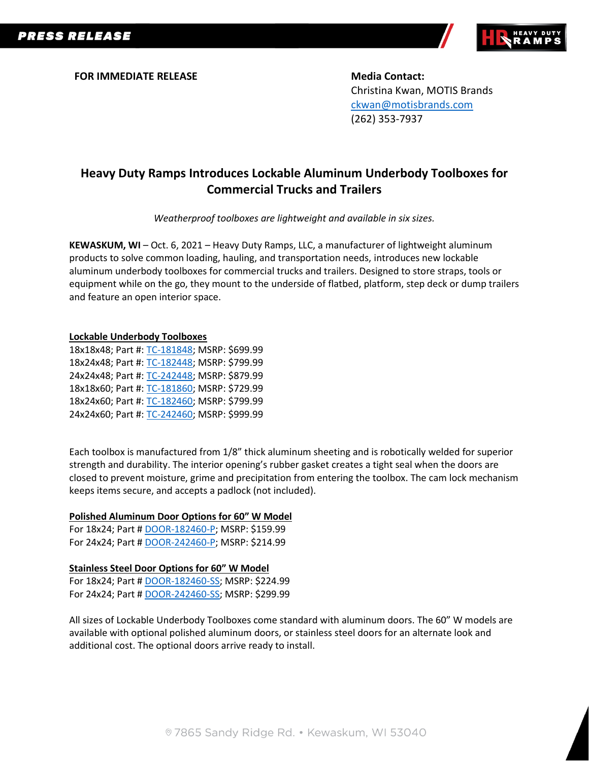

**FOR IMMEDIATE RELEASE Media Contact:** 

Christina Kwan, MOTIS Brands [ckwan@motisbrands.com](mailto:ckwan@motisbrands.com) (262) 353-7937

# **Heavy Duty Ramps Introduces Lockable Aluminum Underbody Toolboxes for Commercial Trucks and Trailers**

*Weatherproof toolboxes are lightweight and available in six sizes.*

**KEWASKUM, WI** – Oct. 6, 2021 – Heavy Duty Ramps, LLC, a manufacturer of lightweight aluminum products to solve common loading, hauling, and transportation needs, introduces new lockable aluminum underbody toolboxes for commercial trucks and trailers. Designed to store straps, tools or equipment while on the go, they mount to the underside of flatbed, platform, step deck or dump trailers and feature an open interior space.

#### **Lockable Underbody Toolboxes**

18x18x48; Part #: [TC-181848;](https://www.discountramps.com/tool-box/under-body/p/TC-181848/) MSRP: \$699.99 18x24x48; Part #: [TC-182448;](https://www.discountramps.com/tool-box/under-body/p/TC-182448/) MSRP: \$799.99 24x24x48; Part #: [TC-242448;](https://www.discountramps.com/tool-box/under-body/p/TC-242448/) MSRP: \$879.99 18x18x60; Part #: [TC-181860;](https://www.discountramps.com/tool-box/under-body/p/TC-181860/) MSRP: \$729.99 18x24x60; Part #: [TC-182460;](https://www.discountramps.com/tool-box/under-body/p/TC-182460/) MSRP: \$799.99 24x24x60; Part #: [TC-242460;](https://www.discountramps.com/tool-box/under-body/p/TC-242460/) MSRP: \$999.99

Each toolbox is manufactured from 1/8" thick aluminum sheeting and is robotically welded for superior strength and durability. The interior opening's rubber gasket creates a tight seal when the doors are closed to prevent moisture, grime and precipitation from entering the toolbox. The cam lock mechanism keeps items secure, and accepts a padlock (not included).

#### **Polished Aluminum Door Options for 60" W Model**

For 18x24; Part [# DOOR-182460-P;](https://www.discountramps.com/tool-box/under-body/p/DOOR-182460-P/) MSRP: \$159.99 For 24x24; Part [# DOOR-242460-P;](https://www.discountramps.com/tool-box/under-body/p/DOOR-242460-P/) MSRP: \$214.99

#### **Stainless Steel Door Options for 60" W Model**

For 18x24; Part [# DOOR-182460-SS;](https://www.discountramps.com/tool-box/under-body/p/DOOR-182460-SS/) MSRP: \$224.99 For 24x24; Part [# DOOR-242460-SS;](https://www.discountramps.com/tool-box/under-body/p/DOOR-242460-SS/) MSRP: \$299.99

All sizes of Lockable Underbody Toolboxes come standard with aluminum doors. The 60" W models are available with optional polished aluminum doors, or stainless steel doors for an alternate look and additional cost. The optional doors arrive ready to install.